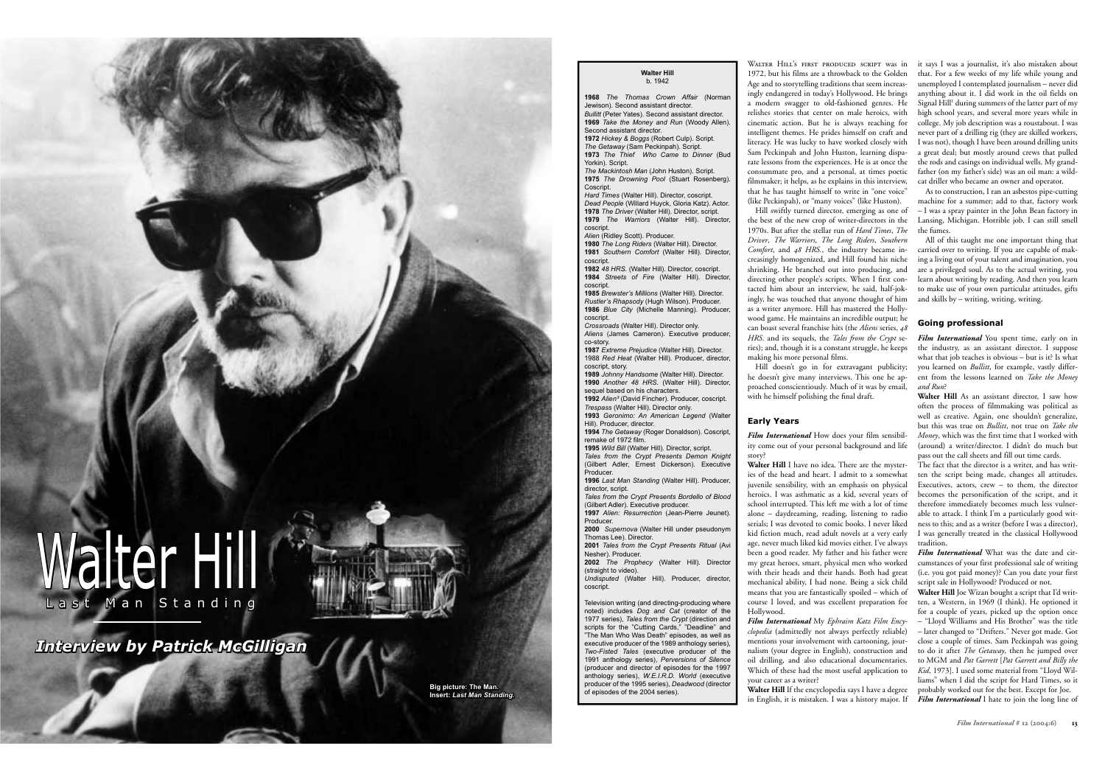# **Walter Hill** Last Man Standing

**Interview by Patrick McGilligan** 

Big picture: The Man **Insert: Last Man Standing** 

#### **Walter Hill**  $h. 1942$

1968 The Thomas Crown Affair (Normal lewison) Second assistant director **Rullitt (Deter Vates)** Second assistant director 1969 Take the Money and Run (Woody Allen). Second assistant director. 1972 Hickey & Boggs (Robert Culp). Script. The Getaway (Sam Peckinpah). Script. 1973 The Thief Who Came to Dinner (Bud **Yorkin**) Script The Mackintosh Man (John Huston), Script 1975 The Drowning Pool (Stuart Rosenberg)

Coscript. Hard Times (Walter Hill). Director. coscript Dead People (Willard Huyck, Gloria Katz), Actor 1978 The Driver (Walter Hill). Director. script. 1979 The Warriors (Walter Hill). Director coscript

Alien (Ridley Scott). Producer 1980 The Long Riders (Walter Hill). Director

1981 Southern Comfort (Walter Hill). Director coscript 1982 48 HRS. (Walter Hill). Director. coscript **1984** Streets of Fire (Walter Hill). Director

coscript **1985 Brewster's Millions (Walter Hill) Director** 

Rustler's Rhapsody (Hugh Wilson). Producer. 1986 Blue City (Michelle Manning) Producer concrint Crossroads (Walter Hill). Director only.

Aliens (James Cameron). Executive producer co-story.

1987 Extreme Prejudice (Walter Hill) Director 1988 Red Heat (Walter Hill). Producer director coscript story

1989 Johnny Handsome (Walter Hill). Director 1990 Another 48 HRS. (Walter Hill). Director sequel based on his characters.

1992 Alien<sup>3</sup> (David Fincher). Producer, coscript. Trespass (Walter Hill) Director only

1993 Geronimo: An American Legend (Walter Hill) Producer director

1994 The Getaway (Roger Donaldson), Coscript **1994** The October 1994

1995 Wild Bill (Walter Hill), Director, script. Tales from the Crypt Presents Demon Knight (Gilbert Adler, Ernest Dickerson), Executive Producer.

1996 Last Man Standing (Walter Hill), Producer director script

Tales from the Crypt Presents Bordello of Blood (Gilbert Adler). Executive producer 1997 Alien: Resurrection (Jean-Pierre Jeunet).

**Droducer** 2000 Supernova (Walter Hill under pseudonym Thomas Lee). Director.

**2001** Tales from the Crypt Presents Ritual (Avi Nocher) Producer

2002 The Prophecy (Walter Hill). Director (straight to video) Undisputed (Walter Hill). Producer. director.

coscript

Television writing (and directing-producing where noted) includes Dog and Cat (creator of the 1977 series). Tales from the Crypt (direction and scripts for the "Cutting Cards," "Deadline" and "The Man Who Was Death" episodes, as well as executive producer of the 1989 anthology series) *Two-Fisted Tales* (executive producer of the 1991 anthology series). Perversions of Silence (producer and director of enisodes for the 1997) anthology series), W.E.I.R.D. World (executive producer of the 1995 series). Deadwood (director of enjoydes of the 2004 series)

WAITER HILL'S FIRST PRODUCED SCRIPT WAS IN 1972, but his films are a throwback to the Golden Age and to storytelling traditions that seem increasingly endangered in today's Hollywood. He brings a modern swagger to old-fashioned genres. He relishes stories that center on male heroics, with cinematic action. But he is always reaching for intelligent themes. He prides himself on craft and literacy. He was lucky to have worked closely with Sam Peckinnah and John Huston Jearning disnarate lessons from the experiences. He is at once the consummate pro, and a personal, at times poetic filmmaker: it helps, as he explains in this interview. that he has taught himself to write in "one voice" (like Peckinnah), or "many voices" (like Huston). Hill swiftly turned director, emerging as one of the best of the new crop of writer-directors in the

1970s. But after the stellar run of *Hard Times. The* Driver, The Warriors, The Long Riders, Southern Comfort, and 48 HRS., the industry became increasingly homogenized, and Hill found his niche shrinking He branched out into producing and directing other people's scripts. When I first contacted him about an interview, he said, half-jokingly, he was touched that anyone thought of him as a writer anymore. Hill has mastered the Hollywood game. He maintains an incredible output: he can boast several franchise hits (the Aliens series, 48 HRS. and its sequels, the Tales from the Crypt series): and, though it is a constant struggle, he keeps making his more personal films

Hill doesn't go in for extravagant publicity; he doesn't give many interviews. This one he approached conscientiously. Much of it was by email. with he himself polishing the final draft.

## **Early Years**

Film International How does your film sensibility come out of your personal background and life  $error<sup>2</sup>$ 

Walter Hill I have no idea. There are the mysteries of the head and heart. I admit to a somewhat iuvenile sensibility, with an emphasis on physical heroics. I was asthmatic as a kid, several years of school interrupted. This left me with a lot of time alone - davdreaming, reading, listening to radio serials: I was devoted to comic books. I never liked kid fiction much, read adult novels at a very early age, never much liked kid movies either. I've always been a good reader. My father and his father were my great heroes, smart, physical men who worked with their heads and their hands. Both had great mechanical ability. I had none. Being a sick child means that you are fantastically spoiled – which of course I loved, and was excellent preparation for Hollywood

Film International My Ephraim Katz Film Encyclopedia (admittedly not always perfectly reliable) mentions your involvement with cartooning, journalism (vour degree in English), construction and oil drilling, and also educational documentaries. Which of these had the most useful application to vour career as a writer?

Walter Hill If the encyclopedia says I have a degree in English, it is mistaken. I was a history major. If Film International I hate to join the long line of

it says I was a journalist, it's also mistaken about that. For a few weeks of my life while young and unemploved I contemplated journalism - never did anything about it. I did work in the oil fields on Signal Hill<sup>1</sup> during summers of the latter part of my high school years, and several more years while in college. My job description was a roustabout. I was never part of a drilling rig (they are skilled workers) I was not), though I have been around drilling units a great deal: but mostly around crews that pulled the rods and casings on individual wells. My grandfather (on my father's side) was an oil man: a wildcat driller who became an owner and operator.

As to construction. I ran an asbestos pipe-cutting machine for a summer: add to that, factory work - I was a spray painter in the John Bean factory in Lansing, Michigan. Horrible job. I can still smell the fumes

All of this taught me one important thing that carried over to writing. If you are capable of making a living out of your talent and imagination, you are a privileged soul. As to the actual writing, you learn about writing by reading. And then you learn to make use of your own particular attitudes, gifts and skills  $bv - writine$ , writing, writing.

# **Going professional**

Film International You spent time, early on in the industry, as an assistant director. I suppose what that  $iob$  teaches is obvious  $=$  but is it? Is what you learned on *Bullitt*, for example, vastly different from the lessons learned on Take the Money and Run

Walter Hill As an assistant director. I saw how often the process of filmmaking was political as well as creative. Again, one shouldn't generalize but this was true on *Bullitt* not true on *Take the* Maney which was the first time that I worked with (around) a writer/director I didn't do much but pass out the call sheets and fill out time cards

The fact that the director is a writer, and has written the script being made, changes all attitudes Executives,  $\alpha$  actors,  $\alpha$  crew - to them, the director becomes the personification of the script, and it therefore immediately becomes much less vulnerable to attack. I think I'm a particularly good witness to this: and as a writer (before I was a director) I was generally treated in the classical Hollywood tradition

Film International What was the date and circumstances of your first professional sale of writing (i.e. you got paid money)? Can you date your first script sale in Hollywood? Produced or not.

Walter Hill Joe Wizan bought a script that I'd write ten. a Western. in 1969 (Lthink). He optioned it for a couple of years, picked up the option once - "Lloyd Williams and His Brother" was the title - later changed to "Drifters." Never got made. Got close a couple of times. Sam Peckinpah was going to do it after *The Getaway*, then he jumped over to MGM and Pat Garrett [Pat Garrett and Billy the Kid. 1973]. I used some material from "Lloyd Williams" when I did the script for Hard Times, so it probably worked out for the best. Except for Joe.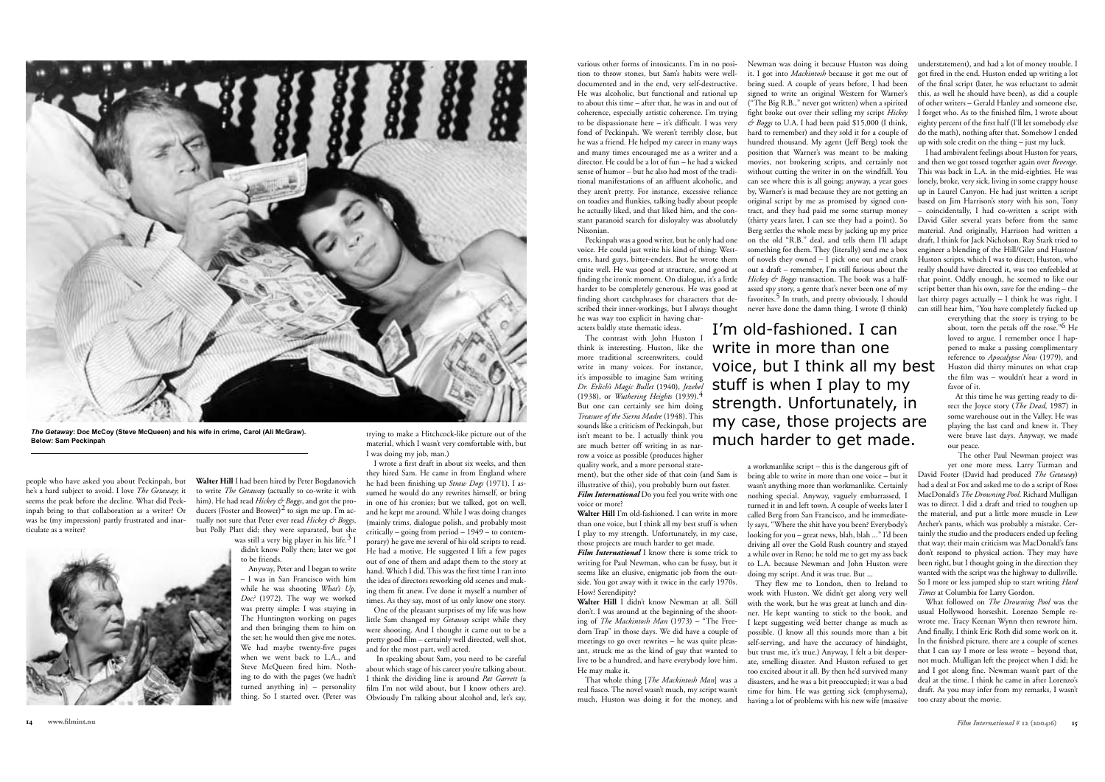

The Getaway: Doc McCoy (Steve McQueen) and his wife in crime, Carol (Ali McGraw). **Below: Sam Peckinpal** 

seems the peak before the decline. What did Peckand a common and a common



people who have asked you about Peckinpah, but Walter Hill I had been hired by Peter Bogdanovich he's a hard subject to avoid. I love *The Getaway*: it to write *The Getaway* (actually to co-write it with him). He had read *Hickey & Boggs*, and got the proinpah bring to that collaboration as a writer? Or ducers (Foster and Brower)<sup>2</sup> to sign me up. I'm acwas he (my impression) partly frustrated and inar-<br>was he (my impression) partly frustrated and inar-<br>ully not sure that Peter ever read Hickey ex Boggs but Polly Platt did: they were separated, but she was still a very big player in his life.<sup>3</sup> I

Anyway, Peter and I began to write

 $-$  I was in San Francisco with him

We had maybe twenty-five pages

when we went back to I.A. and

Steve McQueen fired him Noth-

ing to do with the pages (we hadn't

turned anything in) – personality

thing. So I started over (Peter was

trying to make a Hitchcock-like picture out of the material, which I wasn't very comfortable with, but I was doing my job, man.)

I wrote a first draft in about six weeks, and then they hired Sam. He came in from England where he had been finishing up Straw Dogs (1971). I assumed he would do any rewrites himself, or bring in one of his cronies; but we talked, got on well, and he kent me around While I was doing changes (mainly trims, dialogue polish, and probably most  $\text{critically} = \text{point from period} = 1949 = \text{to content}$ porary) he gave me several of his old scripts to read. He had a motive. He suggested I lift a few pages out of one of them and adapt them to the story at hand. Which I did. This was the first time I ran into the idea of directors reworking old scenes and making them fit anew. I've done it myself a number of times. As they say, most of us only know one story. One of the pleasant surprises of my life was how little Sam changed my *Getaway* script while they were shooting. And I thought it came out to be a pretty good film - certainly well directed well shot and for the most part, well acted

In speaking about Sam, you need to be careful about which stage of his career you're talking about. I think the dividing line is around Pat Garrett (a film I'm not wild about, but I know others are). Obviously I'm talking about alcohol and, let's say, various other forms of intoxicants. I'm in no position to throw stones, but Sam's habits were welldocumented and in the end, very self-destructive. He was alcoholic, but functional and rational up to about this time – after that he was in and out of coherence, especially artistic coherence. I'm trying to be dispassionate here  $=$  it's difficult I was very fond of Peckinpah. We weren't terribly close, but he was a friend. He helped my career in many ways and many times encouraged me as a writer and a director. He could be a lot of fun  $=$  be had a wicked sense of bumor – but he also had most of the traditional manifestations of an affluent alcoholic and they aren't pretty. For instance, excessive reliance on toadies and flunkies, talking badly about people he actually liked, and that liked him, and the constant paranoid search for dislovalty was absolutely Nixonian

Peckinpah was a good writer, but he only had one voice. He could just write his kind of thing: Westerns, hard guys, bitter-enders. But he wrote them quite well. He was good at structure, and good at finding the ironic moment. On dialogue, it's a little harder to be completely generous. He was good at finding short catchphrases for characters that described their inner-workings, but I always thought he was way too explicit in having char-

acters baldly state thematic ideas. The contrast with John Huston I think is interesting. Huston, like the more traditional screenwriters, could it's impossible to imagine Sam writing Dr. Erlich's Magic Bullet (1940), Jezebel (1938), or Wuthering Heights (1939). Treasure of the Sierra Madre (1948) This sounds like a criticism of Peckinnah, but isn't meant to be I actually think you are much better off writing in as narrow a voice as possible (produces higher quality work, and a more personal state-

ment), but the other side of that coin (and Sam is illustrative of this), you probably burn out faster. **Film International** Do you feel you write with one voice or more?

Walter Hill I'm old-fashioned. I can write in more than one voice, but I think all my best stuff is when I play to my strength. Unfortunately, in my case, those projects are much harder to get made.

Film International I know there is some trick to writing for Paul Newman, who can be fussy but it seems like an elusive enjomatic job from the outside. You got away with it twice in the early 1970s. How' Serendinity'

Walter Hill I didn't know Newman at all. Still don't. I was around at the beginning of the shooting of *The Mackintosh Man*  $(1973)$  – "The Freedom Trap" in those days. We did have a couple of meetings to go over rewrites - he was quite pleasant, struck me as the kind of guy that wanted to live to be a hundred, and have everybody love him. He may make it.

That whole thing [The Mackintosh Man] was a real fiasco. The novel wasn't much, my script wasn't much, Huston was doing it for the money, and

Newman was doing it because Huston was doing it. I got into *Mackintosh* because it got me out of being sued. A couple of vears before. I had been signed to write an original Western for Warner's ("The Big R.B.," never got written) when a spirited fight broke out over their selling my script *Hickey*  $\mathcal{E}$  Boggs to U.A. I had been paid \$15,000 (I think hard to remember) and they sold it for a couple of hundred thousand. My agent (leff Berg) took the position that Warner's was meant to be making movies, not brokering scripts, and certainly not without cutting the writer in on the windfall. You can see where this is all going: anyway, a year goes by. Warner's is mad because they are not getting an original script by me as promised by signed contract, and they had paid me some startup money (thirty years later, I can see they had a point). So Berg settles the whole mess by jacking up my price on the old "R.B." deal, and tells them I'll adapt something for them. They (literally) send me a box of novels they owned  $-1$  pick one out and crank out a draft – remember I'm still furious about the Hickey & Boggs transaction. The book was a halfassed spy story, a genre that's never been one of my favorites.<sup>5</sup> In truth, and pretty obviously, I should never have done the damn thing. I wrote (I think)

I'm old-fashioned. I can write in more than one write in many voices. For instance, VOICE, but I think all my best stuff is when I play to my (1938), or *Wuthering Heights* (1939).<sup>7</sup> **Strength.** Unfortunately. in my case, those projects are much harder to get made.

> a workmanlike script – this is the dangerous gift of being able to write in more than one voice – but it wasn't anything more than workmanlike Certainly nothing special. Anyway, vaguely embarrassed. turned it in and left town. A couple of weeks later I called Berg from San Francisco, and he immediate-Iv save "Where the shit have you been? Everybody's looking for you - great news, blah, blah ..." I'd been driving all over the Gold Rush country and stayed a while over in Reno; he told me to get my ass back to L.A. because Newman and John Huston were doing my script. And it was true. But ...

They flew me to London, then to Ireland to work with Huston. We didn't get along very well with the work, but he was great at lunch and dinner. He kept wanting to stick to the book, and I kept suggesting we'd better change as much as possible. (I know all this sounds more than a bit r<br>self-serving and have the accuracy of hindsight but trust me, it's true.) Anyway. I felt a bit desperate, smelling disaster. And Huston refused to get too excited about it all. By then he'd survived many disasters, and he was a bit preoccupied; it was a bad time for him. He was getting sick (emphysema). having a lot of problems with his new wife (massive too crazy about the movie.

understatement), and had a lot of money trouble. got fired in the end. Huston ended up writing a lot of the final script (later, he was reluctant to admit this, as well he should have been), as did a couple of other writers - Gerald Hanley and someone else. I forget who As to the finished film I wrote about eighty percent of the first half (I'll let somebody else do the math), nothing after that, Somehow I ended up with sole credit on the thing  $=$  just my luck

I had ambivalent feelings about Huston for vears and then we got tossed together again over Revenge This was back in L.A. in the mid-eighties. He was lonely, broke, very sick, living in some crappy house up in Laurel Canyon. He had just written a script based on Jim Harrison's story with his son. Tony - coincidentally. I had co-written a script with David Giler several years before from the same material And originally Harrison had written a draft. I think for Jack Nicholson. Ray Stark tried to engineer a blending of the Hill/Giler and Huston/ Huston scripts, which I was to direct: Huston, who really should have directed it, was too enfeebled a that point. Oddly enough, he seemed to like our script better than his own, save for the ending – the  $last$  thirty pages actually  $-1$  think he was right 1 can still hear him. "You have completely fucked up

> everything that the story is trying to be about, torn the petals off the rose."<sup>6</sup> He loved to argue. I remember once I happened to make a passing complimentary reference to Apocalypse Now (1979), and Huston did thirty minutes on what crap the film was – wouldn't hear a word in favor of it

At this time he was getting ready to direct the lovce story (The Dead, 1987) in some warehouse out in the Valley He was playing the last card and knew it. They were brave last days. Anyway we made our peace

The other Paul Newman project was vet one more mess. Larry Turman and

David Foster (David had produced *The Getaway* had a deal at Fox and asked me to do a script of Ross MacDonald's The Drowning Pool. Richard Mulligan was to direct. I did a draft and tried to toughen un the material, and put a little more muscle in Lew Archer's pants, which was probably a mistake. Certainly the studio and the producers ended up feeling that way; their main criticism was MacDonald's fans don't respond to physical action. They may have been right but I thought going in the direction they wanted with the script was the highway to dullsville So I more or less jumped ship to start writing Hara Times at Columbia for Larry Gordon

What followed on *The Drowning Pool* was the usual Hollywood horseshit. Lorenzo Semple rewrote me Tracy Keenan Wynn then rewrote him And finally. I think Eric Roth did some work on it In the finished picture, there are a couple of scenes that I can say I more or less wrote – beyond that not much. Mulligan left the project when I did: he and I got along fine. Newman wasn't part of the deal at the time. I think he came in after Lorenzo's draft. As you may infer from my remarks. I wasn't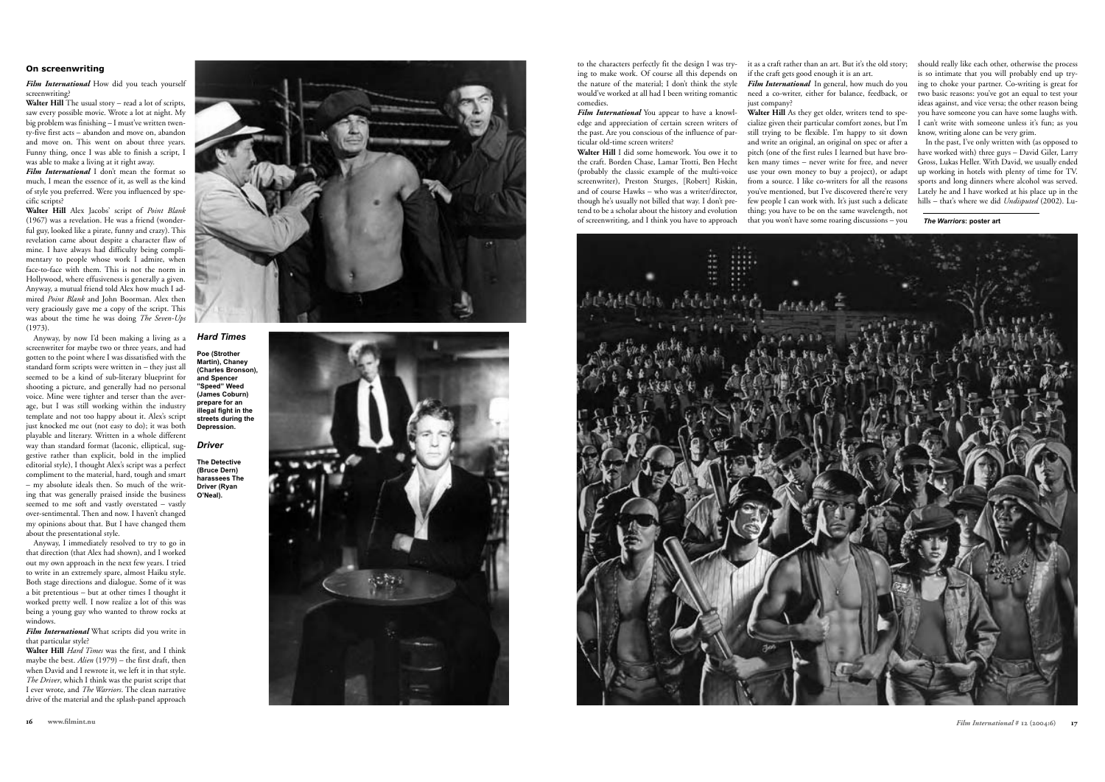## On screenwriting

Film International How did you teach yourself screenwriting?

Walter Hill The usual story - read a lot of scripts, saw every possible movie. Wrote a lot at night. My big problem was finishing - I must've written twen- $\frac{1}{5}$  tv-five first acts – abandon and move on, abandon and move on This went on about three years Funny thing once I was able to finish a script I was able to make a living at it right away.

Film International I don't mean the format so much. I mean the essence of it, as well as the kind of style you preferred. Were you influenced by specific scripts?

Walter Hill Alex Jacobs' script of Point Blank (1967) was a revelation. He was a friend (wonderful guy, looked like a pirate, funny and crazy). This revelation came about despite a character flaw of mine. I have always had difficulty being complimentary to people whose work I admire, when face-to-face with them. This is not the norm in Hollywood, where effusiveness is generally a given. Anyway, a mutual friend told Alex how much I admired *Point Blank* and John Boorman Alex then very graciously gave me a copy of the script. This was about the time he was doing The Seven-Uns  $(1973)$ 

Anyway, by now I'd been making a living as a screenwriter for maybe two or three years, and had gotten to the point where I was dissatisfied with the standard form scripts were written in - they just all seemed to be a kind of sub-literary blueprint for shooting a picture, and generally had no personal voice. Mine were tighter and terser than the average, but I was still working within the industry template and not too happy about it. Alex's script  $\frac{1}{2}$  inst knocked me out (not easy to do); it was both playable and literary Written in a whole different way than standard format (laconic elliptical suggestive rather than explicit, bold in the implied editorial style), I thought Alex's script was a perfect compliment to the material, hard, tough and smart  $=$  my absolute ideals then. So much of the writing that was generally praised inside the business seemed to me soft and vastly overstated = vastly over-sentimental. Then and now. I haven't changed my opinions about that. But I have changed them about the presentational style.

Anyway. I immediately resolved to try to go in that direction (that Alex had shown), and I worked out my own approach in the next few years. I tried to write in an extremely spare, almost Haiku style. Both stage directions and dialogue. Some of it was  $\frac{1}{2}$  bit pretentious = but at other times I thought it worked pretty well. I now realize a lot of this was being a young guy who wanted to throw rocks at windows

#### Film International What scripts did you write in that particular style?

Walter Hill *Hard Times* was the first, and I think maybe the best. Alien (1979) – the first draft, then when David and I rewrote it, we left it in that style. The Driver, which I think was the purist script that I ever wrote, and *The Warriors*. The clean narrative drive of the material and the splash-panel approach



**Hard Times** Poe (Strother Martin), Chaney (Charles Bronson). and Spencer "Speed" Weed Lames Coburn) prepare for an illegal fight in the streets during the Depression

**The Detective** (Bruce Dern) haraccoos The Driver (Ryan  $O'$ Neal)

Driver



ing to make work. Of course all this depends on the nature of the material: I don't think the style would've worked at all had I been writing romantic comedies

Film International You appear to have a knowledge and appreciation of certain screen writers of the past. Are you conscious of the influence of particular old time screen writers?

Walter Hill I did some homework. You owe it to the craft. Borden Chase, Lamar Trotti. Ben Hecht (probably the classic example of the multi-voice screenwriter), Preston Sturges, [Robert] Riskin, and of course Hawks - who was a writer/director. though he's usually not billed that way. I don't pretend to be a scholar about the history and evolution of screenwriting, and I think you have to approach

to the characters perfectly fit the design I was try- it as a craft rather than an art. But it's the old story; if the craft gets good enough it is an art.

Film International In general, how much do you need a co-writer, either for balance, feedback, or iust company

Walter Hill As they get older, writers tend to specialize given their particular comfort zones, but I'm still trying to be flexible. I'm happy to sit down and write an original, an original on spec or after a pitch (one of the first rules I learned but have broken many times - never write for free, and never use your own money to buy a project), or adapt from a source. I like co-writers for all the reasons vou've mentioned, but I've discovered there're very few people I can work with. It's just such a delicate thing; you have to be on the same wavelength, not that you won't have some roaring discussions - you

should really like each other, otherwise the process is so intimate that you will probably end up trying to choke your partner. Co-writing is great for two basic reasons: you've got an equal to test your ideas against, and vice versa; the other reason being you have someone you can have some laughs with. .<br>I can't write with someone unless it's funt as vou know, writing alone can be very grim.

In the past, I've only written with (as opposed to have worked with) three guys - David Giler Larry Gross, Lukas Heller, With David, we usually ended up working in hotels with plenty of time for TV sports and long dinners where alcohol was served Lately he and I have worked at his place up in the hills – that's where we did *Undisputed* (2002). Lu-

The Warriors: poster art

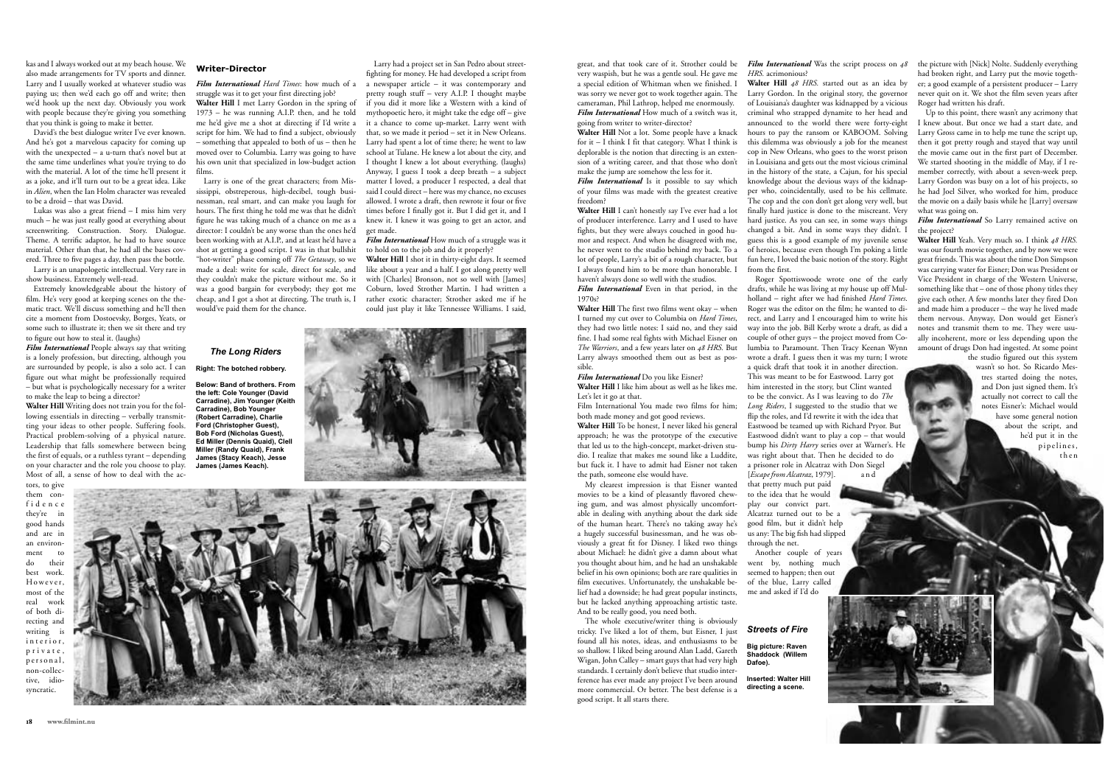kas and Lalways worked out at my beach house. We also made arrangements for TV sports and dinner Larry and I usually worked at whatever studio was paying us; then we'd each go off and write; then we'd hook up the next day. Obviously you work with people because they're giving you something that you think is going to make it better.

David's the best dialogue writer I've ever known. And he's got a marvelous canacity for coming up with the unexpected  $=$  a u-turn that's novel but at the same time underlines what you're trying to do with the material. A lot of the time he'll present it as a joke, and it'll turn out to be a great idea. Like in *Alien*, when the Ian Holm character was revealed to be a droid – that was David.

Lukas was also a great friend - I miss him very much – he was just really good at everything about screenwriting. Construction. Story. Dialogue. Theme. A terrific adaptor, he had to have source material. Other than that, he had all the bases covered. Three to five pages a day, then pass the bottle.

Larry is an unanologetic intellectual Very rare in show business. Extremely well-read.

Extremely knowledgeable about the history of film. He's very good at keeping scenes on the thematic tract. We'll discuss something and he'll then cite a moment from Dostoevsky. Borges, Yeats, or some such to illustrate it: then we sit there and try to figure out how to steal it. (laughs)

Film International People always say that writing is a lonely profession, but directing, although you are surrounded by people, is also a solo act. I can figure out what might be professionally required - but what is psychologically necessary for a writer to make the leap to being a director?

Walter Hill Writing does not train you for the following essentials in directing - verbally transmitting your ideas to other people. Suffering fools, Practical problem-solving of a physical nature. Leadership that falls somewhere between being the first of equals, or a ruthless tyrant – depending on your character and the role you choose to play. Most of all, a sense of how to deal with the ac tors, to give

them confidence they're in good hands and are in an environ ment  $\mathbf{r}$  $\overline{d}$ their best work However. most of the real work of both directing and writing is interior, private. personal. non-collective, idiosyncratic.

#### **Writer-Director**

Film International Hard Times: how much of a struggle was it to get your first directing job? Walter Hill I met Larry Gordon in the spring of 1973 - he was running A.I.P. then, and he told me he'd give me a shot at directing if I'd write a script for him. We had to find a subject, obviously  $-$  something that appealed to both of us – then he moved over to Columbia Larry was going to have his own unit that specialized in low-budget action  $films$ 

Larry is one of the great characters; from Mississippi, obstreperous, high-decibel, tough businessman, real smart, and can make you laugh for hours. The first thing he told me was that he didn't figure he was taking much of a chance on me as a director: Lcouldn't be any worse than the ones he'd been working with at A.I.P., and at least he'd have a shot at getting a good script. I was in that bullshit "hot-writer" phase coming off The Getaway, so we made a deal; write for scale direct for scale and they couldn't make the picture without me. So it was a good bargain for everybody; they got me cheap, and I got a shot at directing. The truth is, I would've paid them for the chance.

Larry had a project set in San Pedro about streetfighting for money. He had developed a script from  $a$  newspaper article – it was contemporary and pretty rough stuff - very A.I.P. I thought maybe if you did it more like a Western with a kind of mythopoetic hero, it might take the edge off - give it a chance to come up-market. Larry went with that, so we made it period  $-$  set it in New Orleans. Larry had spent a lot of time there: he went to law school at Tulane. He knew a lot about the city and I thought I knew a lot about everything. (laughs) Anyway, I guess I took a deep breath - a subject matter I loved, a producer I respected, a deal that said I could direct - here was my chance, no excuses allowed. I wrote a draft, then rewrote it four or five times before I finally got it. But I did get it, and I knew it. I knew it was going to get an actor, and get made

Film International How much of a struggle was it to hold on to the job and do it properly?

Walter Hill I shot it in thirty-eight days. It seemed like about a year and a half I got along pretty well with [Charles] Bronson, not so well with [James] Coburn, loved Strother Martin. I had written a rather exotic character: Strother asked me if he could just play it like Tennessee Williams, I said.

**The Long Riders** Right: The botched robbery.

Below: Band of brothers, From the left: Cole Younger (David Carradine), Jim Younger (Keith Carradine), Bob Younger (Robert Carradine), Charlie Ford (Christopher Guest). **Bob Ford (Nicholas Guest).** Ed Miller (Dennis Quaid). Clell Miller (Randy Quaid), Frank James (Stacy Keach), Jesse James (James Keach)



great, and that took care of it. Strother could be very waspish, but he was a gentle soul. He gave me a special edition of Whitman when we finished. I was sorry we never got to work together again. The cameraman, Phil Lathrop, helped me enormously. Film International How much of a switch was it. going from writer to writer-director?

Walter Hill Not a lot. Some people have a knack for it  $-1$  think I fit that category. What I think is deplorable is the notion that directing is an extension of a writing career, and that those who don't make the jump are somehow the less for it. Film International Is it possible to say which

of your films was made with the greatest creative freedom? Walter Hill I can't honestly say I've ever had a lot

of producer interference. Larry and I used to have fights, but they were always couched in good humor and respect. And when he disagreed with me. he never went to the studio behind my back. To a lot of people, Larry's a bit of a rough character, but I always found him to be more than honorable I haven't always done so well with the studios

Film International Even in that period, in the  $1970c$ 

Walter Hill The first two films went okay – when I turned my cut over to Columbia on *Hard Times*. they had two little notes: I said no, and they said fine. I had some real fights with Michael Eisner on The Warriors and a few years later on 48 HRS But Larry always smoothed them out as best as possible

Film International Do you like Eisner? Walter Hill I like him about as well as he likes me. Let's let it go at that.

Film International You made two films for him: both made money and got good reviews. Walter Hill To be honest I never liked his general

approach: he was the prototype of the executive that led us to the high-concept, market-driven studio. I realize that makes me sound like a Luddite. but fuck it. I have to admit had Eisner not taken the path, someone else would have.

My clearest impression is that Eisner wanted movies to be a kind of pleasantly flavored chewing gum, and was almost physically uncomfortable in dealing with anything about the dark side of the human heart. There's no taking away he's a hugely successful businessman, and he was obviously a great fit for Disney. I liked two things about Michael: he didn't give a damn about what vou thought about him and he had an unshakable belief in his own opinions: both are rare qualities in film executives. Unfortunately, the unshakable belief had a downside: he had great popular instincts but he lacked anything approaching artistic taste. And to be really good, you need both.

The whole executive/writer thing is obviously tricky. I've liked a lot of them, but Eisner. I just found all his notes, ideas, and enthusiasms to be so shallow. I liked being around Alan Ladd. Gareth Wigan, John Calley – smart guys that had very high standards. I certainly don't believe that studio interference has ever made any project I've been around more commercial. Or better. The best defense is a good script. It all starts there.

Film International Was the script process on  $48$ HRS. acrimonious?

Walter Hill 48 HRS, started out as an idea by Larry Gordon. In the original story, the governor of Louisiana's daughter was kidnanned by a vicious criminal who stranned dynamite to her head and announced to the world there were forty-eight hours to pay the ransom or KABOOM. Solving this dilemma was obviously a job for the meanest cop in New Orleans, who goes to the worst prison in Louisiana and gets out the most vicious criminal in the history of the state, a Caiun, for his special knowledge about the devious ways of the kidnapper who, coincidentally, used to be his cellmate. .<br>The cop and the con don't get along very well, but finally hard justice is done to the miscreant. Very hard justice. As you can see, in some ways things changed a bit. And in some ways they didn't. I guess this is a good example of my juvenile sense of heroics, because even though I'm poking a little fun here I loved the basic notion of the story Right from the first

drafts, while he was living at my house up off Mulholland – right after we had finished *Hard Times*. Roger was the editor on the film: he wanted to direct. and Larry and Lencouraged him to write his way into the iob. Bill Kerby wrote a draft, as did a couple of other guys - the project moved from Columbia to Paramount. Then Tracy Keenan Wynn wrote a draft. I guess then it was my turn: I wrote a quick draft that took it in another direction. This was meant to be for Eastwood. Larry got him interested in the story, but Clint wanted to be the convict. As I was leaving to do The

a prisoner role in Alcatraz with Don Siegel Escape from Alcatraz. 1979]  $2nd$ that pretty much put paid to the idea that he would Alcatraz turned out to be a

Another couple of years went by nothing much seemed to happen: then out

of the blue, Larry called me and asked if I'd do

# **Streets of Fire Big picture: Raven**

Shaddock (Willem Dafoe). **Inserted: Walter Hill** direction a scene

the picture with [Nick] Nolte. Suddenly everything had broken right, and Larry put the movie togeth er: a good example of a persistent producer  $-\tilde{L}$ arry

never quit on it. We shot the film seven years after

Up to this point, there wasn't any acrimony that

knew about. But once we had a start date, and

Larry Gross came in to help me tune the script up.

then it got pretty rough and staved that way until

the movie came out in the first part of December

We started shooting in the middle of May, if I re-

member correctly, with about a seven-week prep.

Larry Gordon was busy on a lot of his projects, so

he had Joel Silver, who worked for him, produce

the movie on a daily basis while he Harryl oversaw

Film International So Larry remained active on

Walter Hill Yeah. Very much so. I think 48 HRS

was our fourth movie together, and by now we were

great friends. This was about the time Don Simpson

 $\overline{\phantom{a}}$  the studio figured out this system

wasn't so hot. So Ricardo Mes-

tres started doing the notes,

and Don just signed them. It's

actually not correct to call the

notes Eisner's: Michael would

have some general notion

about the script and

he'd put it in the

pipelines.

then

Roger had written his draft.

what was going on.

the project?

was carrying water for Eisner: Don was President of Roger Spottiswoode wrote one of the early Vice President in charge of the Western Universe something like that  $-$  one of those phony titles they give each other. A few months later they fired Don and made him a producer – the way he lived made them nervous. Anyway. Don would get Eisner's notes and transmit them to me. They were usually incoherent, more or less depending upon the amount of drugs Don had ingested. At some point

Long Riders. I suggested to the studio that we flip the roles, and I'd rewrite it with the idea that Eastwood be teamed up with Richard Prvor, But Eastwood didn't want to play a cop - that would bump his *Dirty Harry* series over at Warner's. He was right about that. Then he decided to do



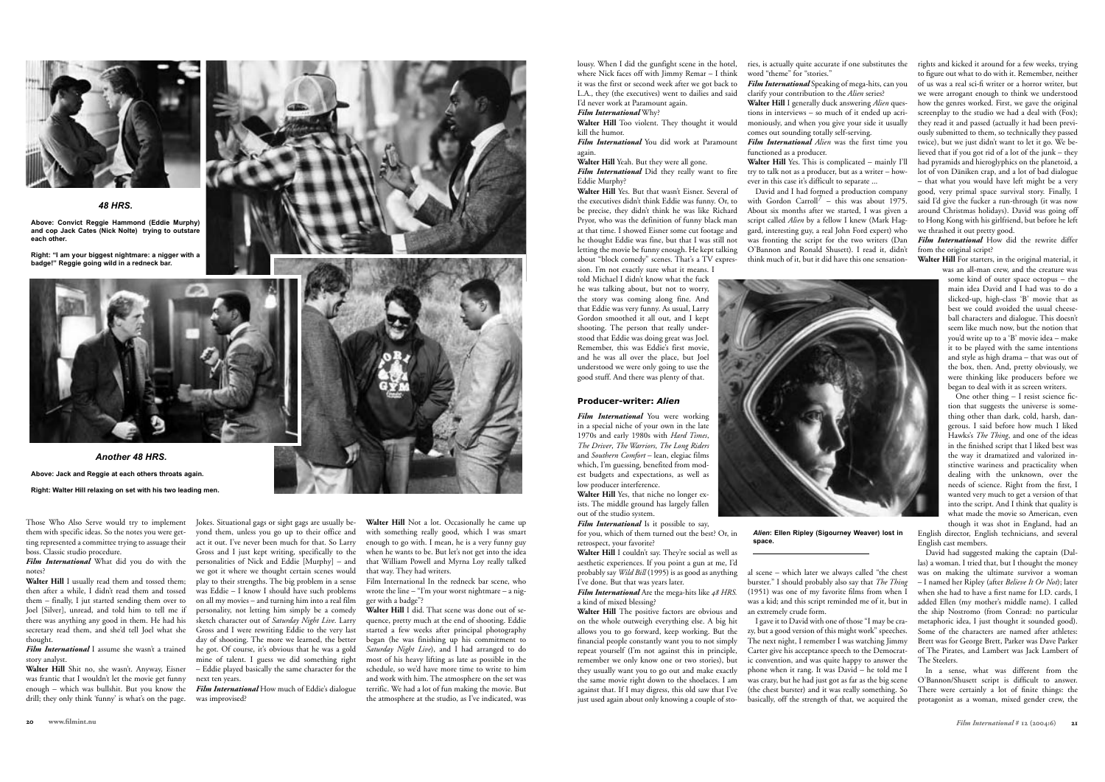

**AR HRS** 

Above: Convict Reggie Hammond (Eddie Murphy) and cop Jack Cates (Nick Nolte) trying to outstare

Right: "I am your biggest nightmare: a nigger with a hadge!" Reggie going wild in a redneck har



Another 48 HRS Above: Jack and Reggie at each others throats again Right: Walter Hill relaxing on set with his two leading men.

Those Who Also Serve would try to implement them with specific ideas. So the notes you were getting represented a committee trying to assuage their hoss Classic studio procedure

Film International What did you do with the notesi

Walter Hill I usually read them and tossed them then after a while. I didn't read them and tossed them - finally, I jut started sending them over to Joel [Silver], unread, and told him to tell me if there was anything any good in them. He had his secretary read them, and she'd tell Joel what she thought.

story analyst

Walter Hill Shit no, she wasn't, Anyway, Eisner was frantic that I wouldn't let the movie get funny  $enoub = which was hullshir. But you know the$ drill; they only think 'funny' is what's on the page. was improvised?

Jokes. Situational gags or sight gags are usually bevond them unless you go up to their office and act it out. I've never been much for that. So Larry Gross and I just kept writing, specifically to the personalities of Nick and Eddie  $[Murphv]$  = and we got it where we thought certain scenes would play to their strengths. The big problem in a sense was Eddie - I know I should have such problems on all my movies – and turning him into a real film personality, not letting him simply be a comedy sketch character out of *Saturday Night Live*. Larry Gross and I were rewriting Eddie to the very last day of shooting. The more we learned, the better Film International I assume she wasn't a trained he got. Of course, it's obvious that he was a gold mine of talent. I guess we did something right - Eddie played basically the same character for the next ten vegre

Film International How much of Eddie's dialogue

Walter Hill Not a lot. Occasionally he came up with something really good which I was smart  $\frac{1}{2}$  enough to go with. I mean, he is a very funny guy when he wants to be. But let's not get into the idea that William Powell and Myrna Lov really talked that way. They had writers.

Film International In the redneck bar scene, who wrote the line - "I'm your worst nightmare - a nigger with a badge"?

Walter Hill I did. That scene was done out of sequence, pretty much at the end of shooting. Eddie started a few weeks after principal photography began (he was finishing up his commitment to Saturday Night Live) and I had arranged to do most of his heavy lifting as late as possible in the schedule, so we'd have more time to write to him and work with him. The atmosphere on the set was terrific We had a lot of fun making the movie But the atmosphere at the studio as I've indicated was lousy. When I did the gunfight scene in the hotel, where Nick faces off with Jimmy Remar - I think it was the first or second week after we got back to L.A., they (the executives) went to dailies and said I'd never work at Paramount again. Film International Why?

Walter Hill Too violent. They thought it would **bill** the humor Eilen International Vou did work at Paramount

 $\overline{1}$ 

Walter Hill Yeah. But they were all gone. Film International Did they really want to fire Eddie Murphy?

Walter Hill Yes. But that wasn't Eisner. Several of the executives didn't think Eddie was funny. Or, to be precise, they didn't think he was like Richard Prvor, who was the definition of funny black man at that time. I showed Eisner some cut footage and he thought Eddie was fine, but that I was still not letting the movie be funny enough. He kept talking about "block comedy" scenes. That's a TV expression. I'm not exactly sure what it means. I

told Michael I didn't know what the fuck he was talking about, but not to worry. the story was coming along fine. And that Eddie was very funny. As usual, Larry Gordon smoothed it all out, and I kept shooting. The person that really undershooting. The real relationship of the stood that Eddie was doing great was Joel Remember this was Eddie's first movie and he was all over the place, but Joel understood we were only going to use the good stuff. And there was plenty of that.

### **Producer-writer: Alien**

Film International You were working in a special niche of your own in the late 1970s and early 1980s with *Hard Times* The Driver The Warriors The Long Riders and *Southern Comfort* – lean, elegiac films which, I'm guessing, benefited from modest budgets and expectations, as well as low producer interference.

Walter Hill Yes, that niche no longer exists. The middle ground has largely faller out of the studio system.

Film International Is it possible to sav. for you, which of them turned out the best? Or, in retrospect, your favorite?

Walter Hill I couldn't say. They're social as well as aesthetic experiences. If you point a gun at me. I'd probably say Wild Bill (1995) is as good as anything T've done. But that was vears later.

Film International Are the mega-hits like 48 HRS a kind of mixed blessing?

Walter Hill The positive factors are obvious and on the whole outweigh everything else. A big hit allows you to go forward, keep working. But the financial people constantly want you to not simply repeat vourself (I'm not against this in principle. remember we only know one or two stories), but they usually want you to go out and make exactly the same movie right down to the shoelaces. I am against that. If I may digress, this old saw that I've just used again about only knowing a couple of sto-

ries, is actually quite accurate if one substitutes the word "theme" for "stories." Film International Speaking of mega-hits, can you

clarify your contribution to the Alien series? Walter Hill I generally duck answering Alien ques tions in interviews - so much of it ended up acrimoniously, and when you give your side it usually comes out sounding totally self-serving. Eilm International Alien was the first time you

functioned as a producer Walter Hill Yes. This is complicated = mainly I'll try to talk not as a producer, but as a writer – however in this case it's difficult to separate...

David and I had formed a production company with Gordon Carroll<sup>7</sup> = this was about 1975. About six months after we started. I was given a script called *Alien* by a fellow I knew (Mark Haggard, interesting guy, a real John Ford expert) who was fronting the script for the two writers (Dan O'Bannon and Ronald Shusett). I read it, didn't think much of it, but it did have this one sensation-



Alien: Ellen Ripley (Sigourney Weaver) lost in  $00200$ 

al scene – which later we always called "the chest burster." I should probably also say that *The Thing*  $(1951)$  was one of my favorite films from when  $\tilde{I}$ was a kid: and this script reminded me of it, but in an extremely crude form.

I gave it to David with one of those "I may be crazy, but a good version of this might work" speeches. The next night, I remember I was watching Jimmy Carter give his acceptance speech to the Democratic convention, and was quite happy to answer the phone when it rang. It was  $David -$  he told me I was crazy, but he had just got as far as the big scene O'Bannon/Shusett script is difficult to answer. (the chest burster) and it was really something. So basically off the strength of that we acquired the

rights and kicked it around for a few weeks, trying to figure out what to do with it. Remember, neither of us was a real sci-fi writer or a horror writer, but we were arrogant enough to think we understood how the genres worked. First, we gave the original screenplay to the studio we had a deal with (Fox): they read it and passed (actually it had been previously submitted to them, so technically they passed twice) but we just didn't want to let it go. We believed that if you got rid of a lot of the junk  $=$  they had pyramids and hieroglyphics on the planetoid, a lot of von Däniken crap, and a lot of bad dialogue  $=$  that what you would have left might be a very good, very primal space survival story. Finally, I said I'd give the fucker a run-through (it was now around Christmas holidays). David was going off to Hong Kong with his girlfriend, but before he left we thrashed it out pretty good.

Film International How did the rewrite diffe from the original script?

Walter Hill For starters, in the original material, it

was an all-man crew and the creature was some kind of outer space octopus  $=$  the main idea David and I had was to do a slicked-up, high-class 'B' movie that as best we could avoided the usual cheeseball characters and dialogue. This doesn't seem like much now, but the notion that vou'd write up to a 'B' movie idea – make it to be played with the same intentions and style as high drama - that was out of the box, then. And, pretty obviously, we were thinking like producers before we began to deal with it as screen writers.

One other thing  $-1$  resist science fiction that suggests the universe is some thing other than dark, cold, harsh, dangerous. I said before how much I liked Hawks's *The Thing* and one of the ideas in the finished script that I liked best was the way it dramatized and valorized instinctive wariness and practicality when dealing with the unknown, over the needs of science. Right from the first. I wanted very much to get a version of that into the script. And I think that quality is what made the movie so American, even though it was shot in England, had an

English director, English technicians, and several English cast members.

David had suggested making the captain (Dallas) a woman I tried that but I thought the money was on making the ultimate survivor a woman  $-$  I named her Ripley (after *Believe It Or Not*): later when she had to have a first name for ID cards 1 added Ellen (my mother's middle name). I called the ship Nostromo (from Conrad: no particular metaphoric idea. I just thought it sounded good). Some of the characters are named after athletes Brett was for George Brett, Parker was Dave Parker of The Pirates, and Lambert was Jack Lambert of The Creelers

In a sense, what was different from the There were certainly a lot of finite things: the protagonist as a woman, mixed gender crew, the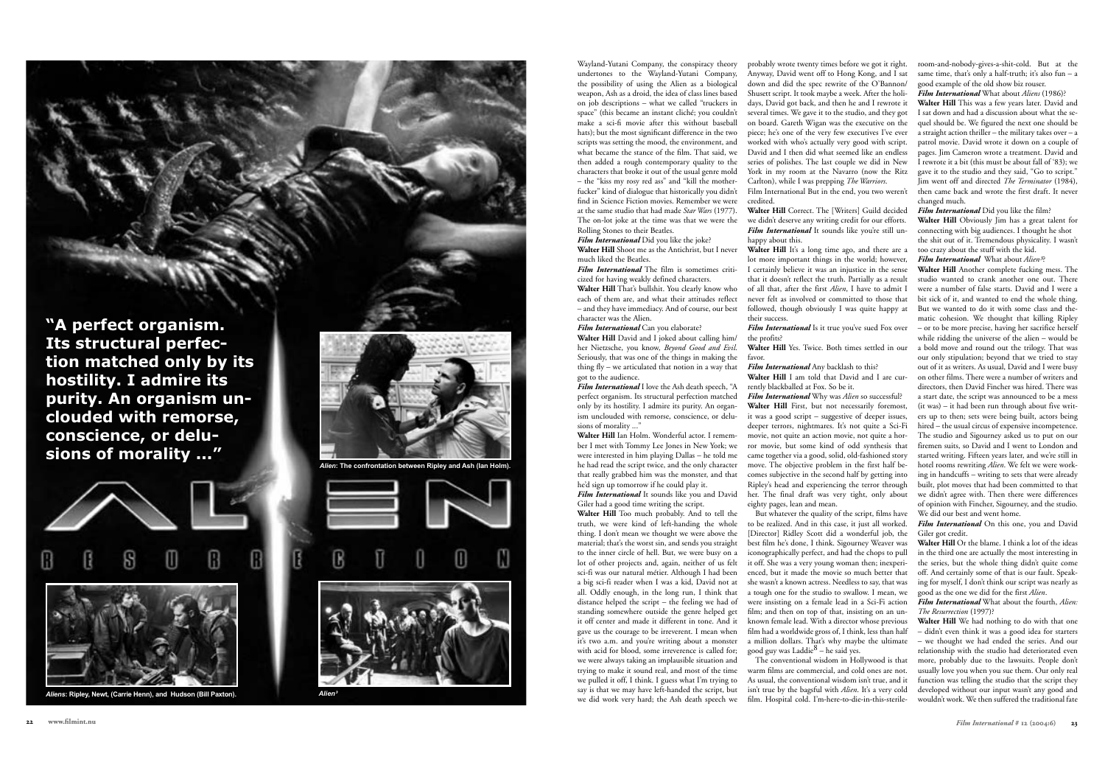"A perfect organism. **Its structural perfec**tion matched only by its hostility. I admire its purity. An organism unclouded with remorse, conscience, or delusions of morality ..."



Aliens: Ripley, Newt, (Carrie Henn), and Hudson (Bill Paxton)

22 www.filmint.nu



Alien: The confrontation between Ripley and Ash (lan Holm)



Wayland-Yutani Company, the conspiracy theory undertones to the Wayland-Yutani Company. the possibility of using the Alien as a biological weapon. Ash as a droid, the idea of class lines based on iob descriptions - what we called "truckers in space" (this became an instant cliché; vou couldn't make a sci-fi movie after this without baseball hats); but the most significant difference in the two scripts was setting the mood the environment and what became the stance of the film That said we then added a rough contemporary quality to the characters that broke it out of the usual genre mold  $=$  the "kiss my rosy red ass" and "kill the motherfucker" kind of dialogue that historically you didn't find in Science Fiction movies. Remember we were at the same studio that had made Star Wars (1977). The on-lot joke at the time was that we were the Rolling Stones to their Beatles

Film International Did you like the joke? Walter Hill Shoot me as the Antichrist, but I never much liked the Beatles

Film International The film is sometimes criticized for having weakly defined characters. Walter Hill That's bullshit You clearly know who

each of them are and what their attitudes reflect  $=$  and they have immediacy. And of course, our best character was the Alien. Film International Can you elaborate?

Walter Hill David and I joked about calling him/ her Nietzsche, vou know. Bevand Good and Fuil. Seriously, that was one of the things in making the thing  $fly = we$  articulated that notion in a way that got to the audience.

Film International I love the Ash death speech. "A perfect organism. Its structural perfection matched only by its hostility. I admire its purity. An organism unclouded with remorse conscience or delusions of morality

Walter Hill Ian Holm Wonderful actor I remember I met with Tommy Lee Jones in New York: we were interested in him playing Dallas - he told me he had read the script twice, and the only character that really grabbed him was the monster, and that he'd sign up tomorrow if he could play it. Film International It sounds like you and David

Giler had a good time writing the script. Walter Hill Too much probably. And to tell the

truth, we were kind of left-handing the whole thing. I don't mean we thought we were above the material: that's the worst sin, and sends you straight to the inner circle of hell. But, we were busy on a lot of other projects and again neither of us felt sci-fi was our natural métier. Although I had been a big sci-fi reader when I was a kid. David not at all Oddly enough in the long run I think that distance helped the script - the feeling we had of standing somewhere outside the genre helped get it off center and made it different in tone. And it gave us the courage to be irreverent. I mean when it's two a.m. and you're writing about a monster with acid for blood, some irreverence is called for: we were always taking an implausible situation and trying to make it sound real, and most of the time we pulled it off. I think. I guess what I'm trying to say is that we may have left-handed the script, but

probably wrote twenty times before we got it right. Anyway. David went off to Hong Kong, and Lsat down and did the spec rewrite of the O'Bannon/ Shusett script. It took maybe a week. After the holidays, David got back, and then he and I rewrote it several times. We gave it to the studio, and they got on board. Gareth Wigan was the executive on the piece: he's one of the very few executives I've ever worked with who's actually very good with script. David and I then did what seemed like an endless series of polishes. The last couple we did in New York in my room at the Navarro (now the Ritz Carlton), while I was prepping The Warriors. Film International But in the end, you two weren't credited

Walter Hill Correct. The [Writers] Guild decided we didn't deserve any writing credit for our efforts. Film International It sounds like vou're still unhappy about this.

Walter Hill It's a long time ago, and there are a lot more important things in the world: however. I certainly believe it was an injustice in the sense that it doesn't reflect the truth Partially as a result of all that after the first Alien I have to admit I never felt as involved or committed to those that followed, though obviously I was quite happy at But we wanted to do it with some class and thetheir success

Film International Is it true vou've sued Fox over the profits?

Water Hill Ves Twice, Both times settled in our  $f<sub>avor</sub>$ 

#### Film International Any backlash to this? Walter Hill I am told that David and I are cur-

rently blackballed at Fox. So be it Film International Why was Alien so successful!

Walter Hill First, but not necessarily foremost, it was a good script – suggestive of deeper issues, deeper terrors nightmares. It's not quite a Sci-Fi movie not quite an action movie not quite a horror movie but some kind of odd synthesis that came together via a good, solid, old-fashioned story move. The objective problem in the first half becomes subjective in the second half by getting into Ripley's head and experiencing the terror through her. The final draft was very tight, only about we didn't agree with. Then there were differences eighty pages, lean and mean.

But whatever the quality of the script, films have to be realized. And in this case, it just all worked. [Director] Ridley Scott did a wonderful job, the best film he's done, I think. Sigourney Weaver was iconographically perfect, and had the chops to pull  $\frac{1}{2}$  it off. She was a very voung woman then inexperienced but it made the movie so much better that she wasn't a known actress. Needless to say, that was a tough one for the studio to swallow I mean we were insisting on a female lead in a Sci-Fi action film; and then on top of that, insisting on an unknown female lead. With a director whose previous film had a worldwide gross of. I think, less than half a million dollars. That's why maybe the ultimate good guy was Laddie<sup>8</sup> – he said ves

The conventional wisdom in Hollywood is that warm films are commercial, and cold ones are not. As usual, the conventional wisdom isn't true, and it isn't true by the bagsful with *Alien*. It's a very cold we did work very hard; the Ash death speech we film. Hospital cold. I'm-here-to-die-in-this-sterile-

room-and-nobody-gives-a-shit-cold. But at the same time, that's only a half-truth: it's also fun = a good example of the old show biz rouser.

Film International What about Aliens (1986): Walter Hill This was a few years later. David and I sat down and had a discussion about what the sequel should be. We figured the next one should be  $\frac{1}{2}$  a straight action thriller – the military takes over – a patrol movie David wrote it down on a couple of r<br>nages. Iim Cameron wrote a treatment. David and I rewrote it a bit (this must be about fall of '83): we gave it to the studio and they said. "Go to script."  $\frac{5}{1}$  im went off and directed *The Terminator* (1984) then came back and wrote the first draft. It never changed much.

Film International Did you like the film?

Walter Hill Obviously Jim has a great talent for connecting with big audiences. I thought he shot the shit out of it. Tremendous physicality. I wasn't too crazy about the stuff with the kid.

Film International What about Alien<sup>3</sup>?

Walter Hill Another complete fucking mess The studio wanted to crank another one out. There were a number of false starts. David and I were a bit sick of it, and wanted to end the whole thing matic cohesion. We thought that killing Ripley  $=$  or to be more precise, having her sacrifice herself while ridding the universe of the alien - would be a bold move and round out the trilogy. That was our only stipulation: beyond that we tried to stay out of it as writers. As usual, David and I were busy on other films. There were a number of writers and directors, then David Fincher was hired. There was a start date, the script was announced to be a mess (it was) - it had been run through about five writers up to then; sets were being built, actors being hired – the usual circus of expensive incompetence The studio and Sigourney asked us to put on our firemen suits, so David and I went to London and started writing. Fifteen years later, and we're still in hotel rooms rewriting *Alien*. We felt we were working in handcuffs = writing to sets that were already built, plot moves that had been committed to that of opinion with Fincher. Sigourney, and the studio. We did our best and went home. Film International On this one, you and David

Giler got credit.

Walter Hill Or the blame. I think a lot of the ideas in the third one are actually the most interesting in the series but the whole thing didn't quite come off. And certainly some of that is our fault. Speaking for myself. I don't think our script was nearly as good as the one we did for the first Alien

Film International What about the fourth. Alien The Resurrection (1997)?

Walter Hill We had nothing to do with that one  $=$  didn't even think it was a good idea for starters - we thought we had ended the series. And out relationship with the studio had deteriorated even more, probably due to the lawsuits. People don't  $\frac{1}{2}$  usually love you when you sue them. Our only real function was telling the studio that the script they developed without our input wasn't any good and wouldn't work We then suffered the traditional fate